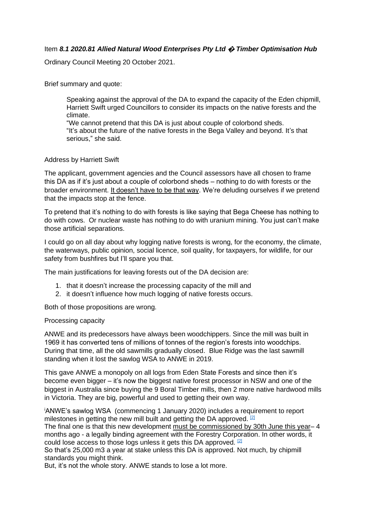## Item *8.1 2020.81 Allied Natural Wood Enterprises Pty Ltd* **�** *Timber Optimisation Hub*

Ordinary Council Meeting 20 October 2021.

Brief summary and quote:

Speaking against the approval of the DA to expand the capacity of the Eden chipmill, Harriett Swift urged Councillors to consider its impacts on the native forests and the climate.

"We cannot pretend that this DA is just about couple of colorbond sheds. "It's about the future of the native forests in the Bega Valley and beyond. It's that serious," she said.

## Address by Harriett Swift

The applicant, government agencies and the Council assessors have all chosen to frame this DA as if it's just about a couple of colorbond sheds – nothing to do with forests or the broader environment. It doesn't have to be that way. We're deluding ourselves if we pretend that the impacts stop at the fence.

To pretend that it's nothing to do with forests is like saying that Bega Cheese has nothing to do with cows. Or nuclear waste has nothing to do with uranium mining. You just can't make those artificial separations.

I could go on all day about why logging native forests is wrong, for the economy, the climate, the waterways, public opinion, social licence, soil quality, for taxpayers, for wildlife, for our safety from bushfires but I'll spare you that.

The main justifications for leaving forests out of the DA decision are:

- 1. that it doesn't increase the processing capacity of the mill and
- 2. it doesn't influence how much logging of native forests occurs.

Both of those propositions are wrong.

## Processing capacity

ANWE and its predecessors have always been woodchippers. Since the mill was built in 1969 it has converted tens of millions of tonnes of the region's forests into woodchips. During that time, all the old sawmills gradually closed. Blue Ridge was the last sawmill standing when it lost the sawlog WSA to ANWE in 2019.

This gave ANWE a monopoly on all logs from Eden State Forests and since then it's become even bigger – it's now the biggest native forest processor in NSW and one of the biggest in Australia since buying the 9 Boral Timber mills, then 2 more native hardwood mills in Victoria. They are big, powerful and used to getting their own way.

<sup>i</sup>ANWE's sawlog WSA (commencing 1 January 2020) includes a requirement to report milestones in getting the new mill built and getting the DA approved.  $[2]$ The final one is that this new development must be commissioned by 30th June this year– 4

months ago - a legally binding agreement with the Forestry Corporation. In other words, it could lose access to those logs unless it gets this DA approved. [\[2\]](http://www.chipstop.savetheforests.org.au/chipmill-expansion-DA-address-to-BVSC.htm#_ftn2)

So that's 25,000 m3 a year at stake unless this DA is approved. Not much, by chipmill standards you might think.

But, it's not the whole story. ANWE stands to lose a lot more.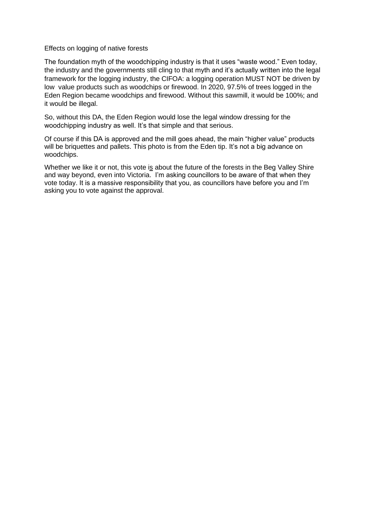Effects on logging of native forests

The foundation myth of the woodchipping industry is that it uses "waste wood." Even today, the industry and the governments still cling to that myth and it's actually written into the legal framework for the logging industry, the CIFOA: a logging operation MUST NOT be driven by low value products such as woodchips or firewood. In 2020, 97.5% of trees logged in the Eden Region became woodchips and firewood. Without this sawmill, it would be 100%; and it would be illegal.

So, without this DA, the Eden Region would lose the legal window dressing for the woodchipping industry as well. It's that simple and that serious.

Of course if this DA is approved and the mill goes ahead, the main "higher value" products will be briquettes and pallets. This photo is from the Eden tip. It's not a big advance on woodchips.

Whether we like it or not, this vote is about the future of the forests in the Beg Valley Shire and way beyond, even into Victoria. I'm asking councillors to be aware of that when they vote today. It is a massive responsibility that you, as councillors have before you and I'm asking you to vote against the approval.